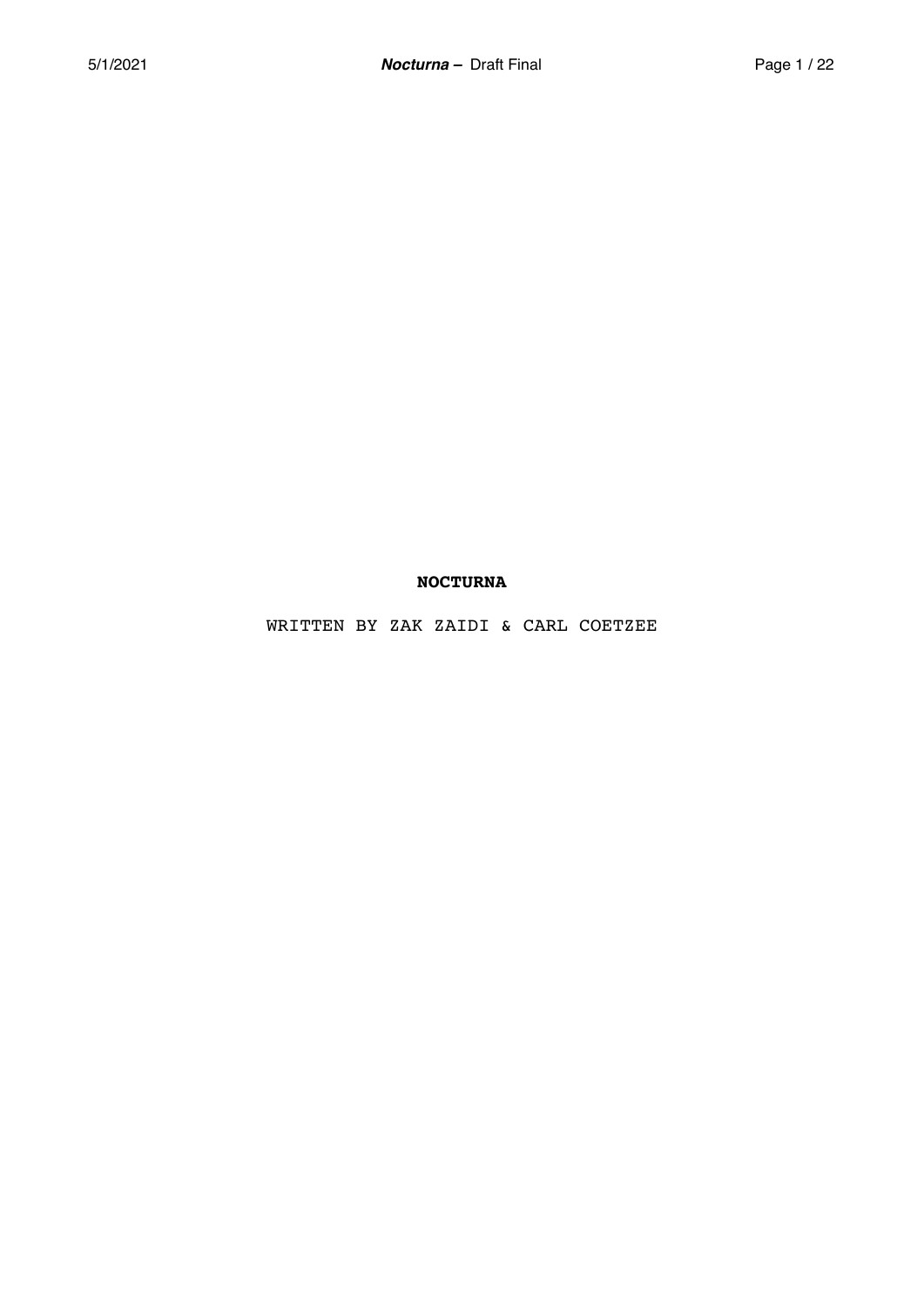# **NOCTURNA**

WRITTEN BY ZAK ZAIDI & CARL COETZEE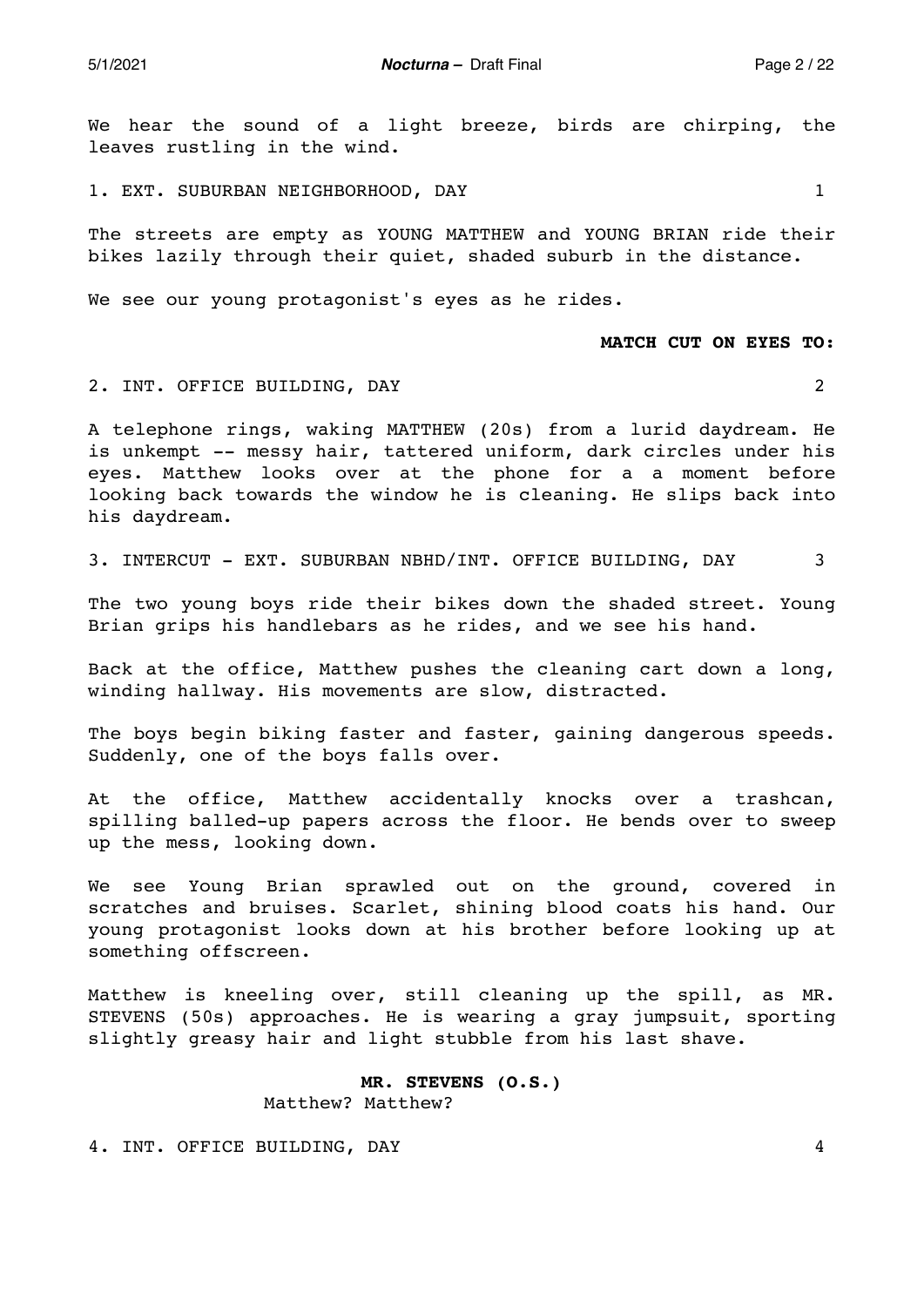5/1/2021 *Nocturna –* Draft Final Page 2 / 22

We hear the sound of a light breeze, birds are chirping, the leaves rustling in the wind.

1. EXT. SUBURBAN NEIGHBORHOOD, DAY 1

The streets are empty as YOUNG MATTHEW and YOUNG BRIAN ride their bikes lazily through their quiet, shaded suburb in the distance.

We see our young protagonist's eyes as he rides.

## **MATCH CUT ON EYES TO:**

2. INT. OFFICE BUILDING, DAY 2

A telephone rings, waking MATTHEW (20s) from a lurid daydream. He is unkempt -- messy hair, tattered uniform, dark circles under his eyes. Matthew looks over at the phone for a a moment before looking back towards the window he is cleaning. He slips back into his daydream.

3. INTERCUT - EXT. SUBURBAN NBHD/INT. OFFICE BUILDING, DAY 3

The two young boys ride their bikes down the shaded street. Young Brian grips his handlebars as he rides, and we see his hand.

Back at the office, Matthew pushes the cleaning cart down a long, winding hallway. His movements are slow, distracted.

The boys begin biking faster and faster, gaining dangerous speeds. Suddenly, one of the boys falls over.

At the office, Matthew accidentally knocks over a trashcan, spilling balled-up papers across the floor. He bends over to sweep up the mess, looking down.

We see Young Brian sprawled out on the ground, covered in scratches and bruises. Scarlet, shining blood coats his hand. Our young protagonist looks down at his brother before looking up at something offscreen.

Matthew is kneeling over, still cleaning up the spill, as MR. STEVENS (50s) approaches. He is wearing a gray jumpsuit, sporting slightly greasy hair and light stubble from his last shave.

# **MR. STEVENS (O.S.)**

Matthew? Matthew?

4. INT. OFFICE BUILDING, DAY 4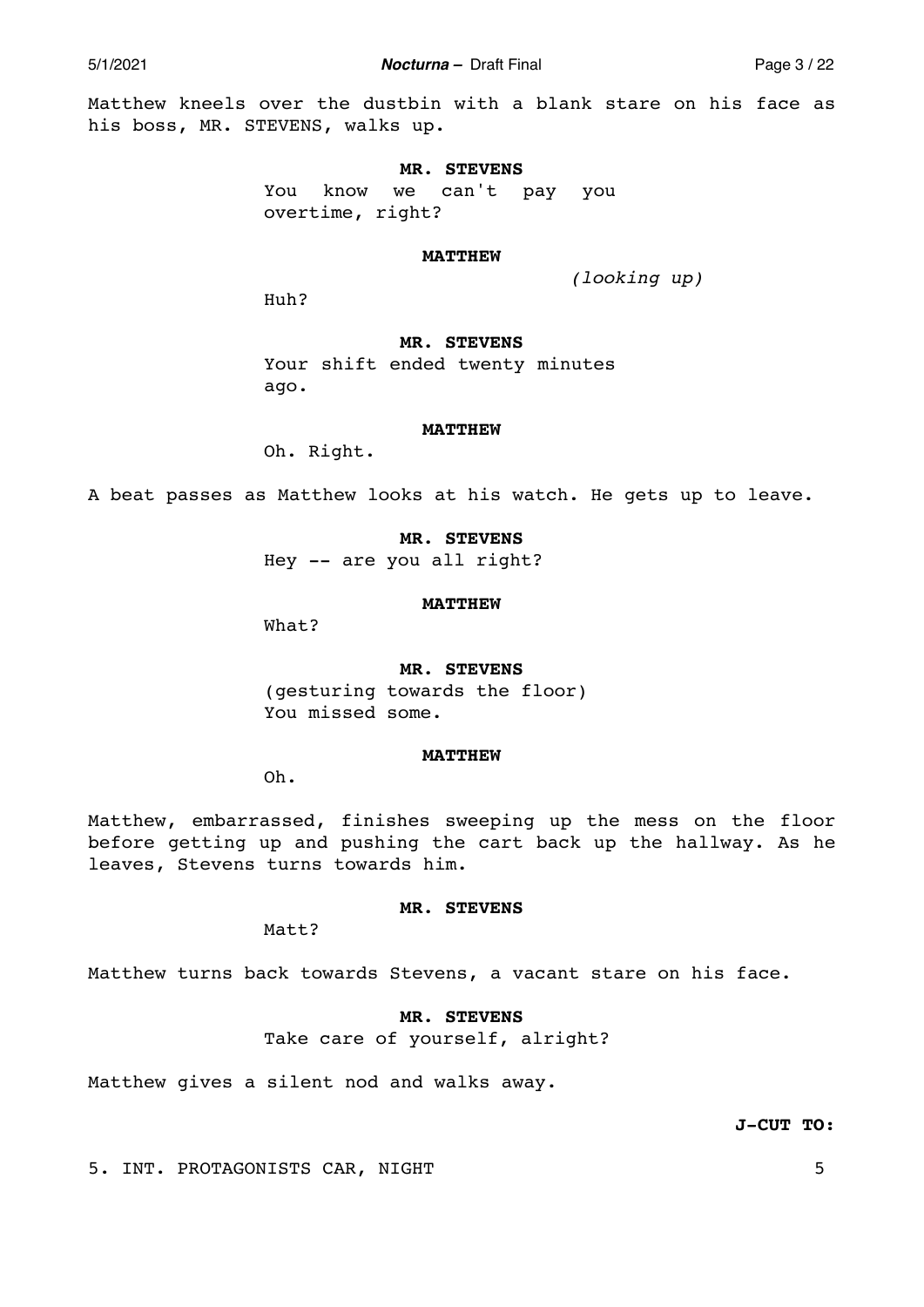5/1/2021 *Nocturna –* Draft Final Page 3 / 22

Matthew kneels over the dustbin with a blank stare on his face as his boss, MR. STEVENS, walks up.

### **MR. STEVENS**

You know we can't pay you overtime, right?

### **MATTHEW**

*(looking up)* 

Huh?

## **MR. STEVENS**

Your shift ended twenty minutes ago.

#### **MATTHEW**

Oh. Right.

A beat passes as Matthew looks at his watch. He gets up to leave.

## **MR. STEVENS**

Hey -- are you all right?

### **MATTHEW**

What?

### **MR. STEVENS**

(gesturing towards the floor) You missed some.

## **MATTHEW**

Oh.

Matthew, embarrassed, finishes sweeping up the mess on the floor before getting up and pushing the cart back up the hallway. As he leaves, Stevens turns towards him.

## **MR. STEVENS**

Matt?

Matthew turns back towards Stevens, a vacant stare on his face.

# **MR. STEVENS**

Take care of yourself, alright?

Matthew gives a silent nod and walks away.

**J-CUT TO:** 

5. INT. PROTAGONISTS CAR, NIGHT 5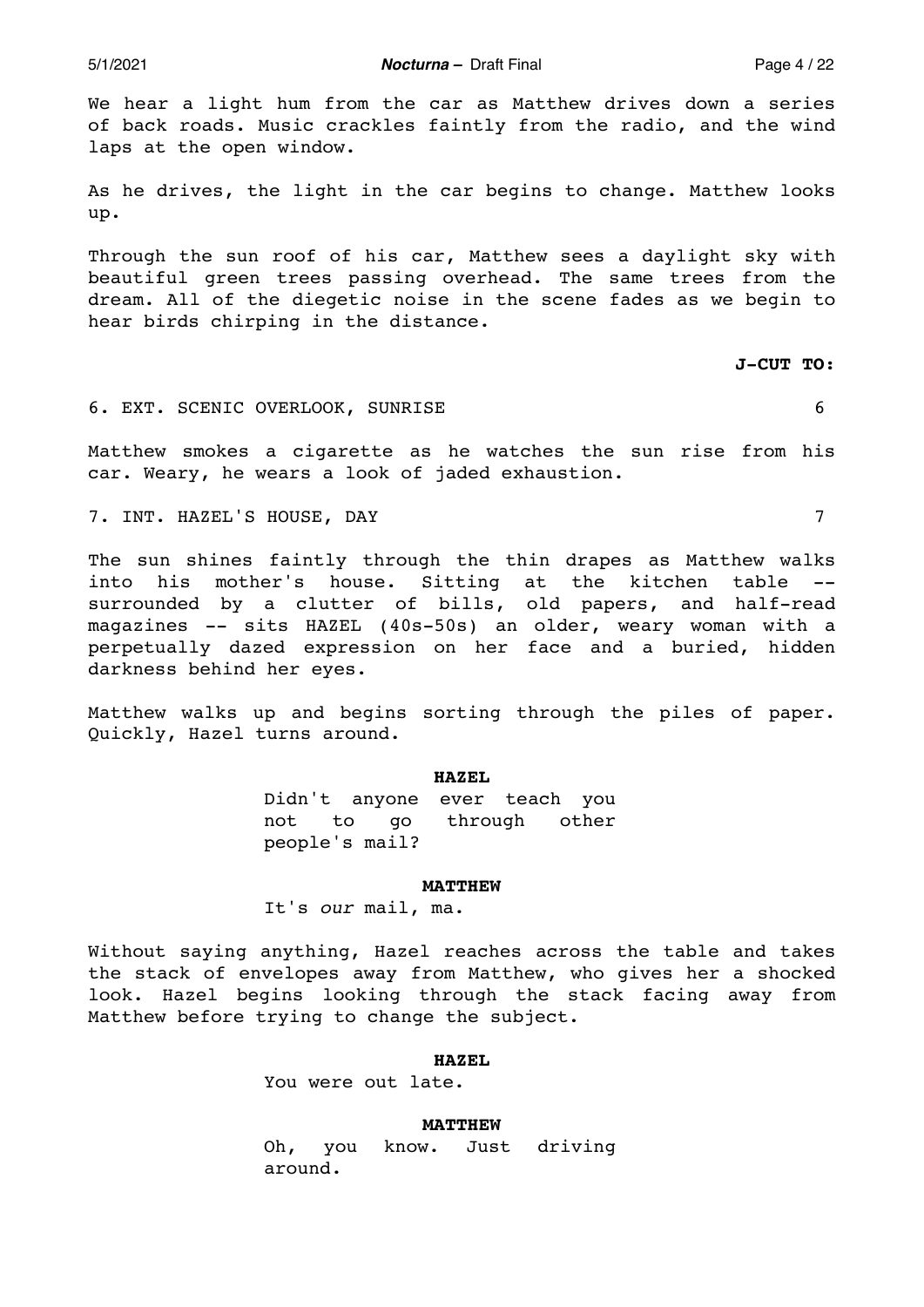5/1/2021 *Nocturna –* Draft Final Page 4 / 22

We hear a light hum from the car as Matthew drives down a series of back roads. Music crackles faintly from the radio, and the wind laps at the open window.

As he drives, the light in the car begins to change. Matthew looks up.

Through the sun roof of his car, Matthew sees a daylight sky with beautiful green trees passing overhead. The same trees from the dream. All of the diegetic noise in the scene fades as we begin to hear birds chirping in the distance.

**J-CUT TO:** 

## 6. EXT. SCENIC OVERLOOK, SUNRISE 6

Matthew smokes a cigarette as he watches the sun rise from his car. Weary, he wears a look of jaded exhaustion.

7. INT. HAZEL'S HOUSE, DAY 7

The sun shines faintly through the thin drapes as Matthew walks into his mother's house. Sitting at the kitchen table surrounded by a clutter of bills, old papers, and half-read magazines -- sits HAZEL (40s-50s) an older, weary woman with a perpetually dazed expression on her face and a buried, hidden darkness behind her eyes.

Matthew walks up and begins sorting through the piles of paper. Quickly, Hazel turns around.

### **HAZEL**

Didn't anyone ever teach you not to go through other people's mail?

#### **MATTHEW**

It's *our* mail, ma.

Without saying anything, Hazel reaches across the table and takes the stack of envelopes away from Matthew, who gives her a shocked look. Hazel begins looking through the stack facing away from Matthew before trying to change the subject.

### **HAZEL**

You were out late.

### **MATTHEW**

Oh, you know. Just driving around.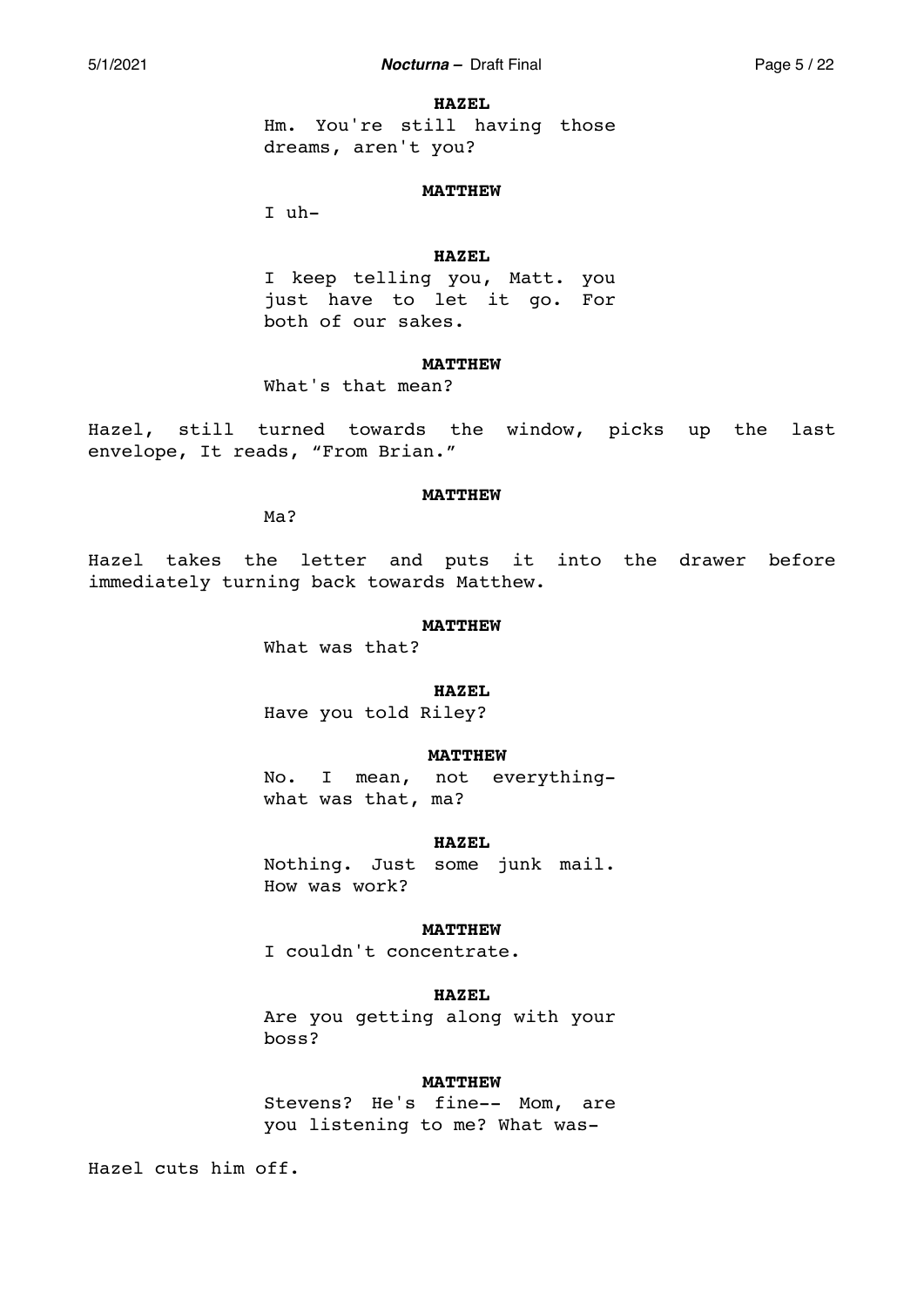#### **HAZEL**

Hm. You're still having those dreams, aren't you?

### **MATTHEW**

I uh-

## **HAZEL**

I keep telling you, Matt. you just have to let it go. For both of our sakes.

## **MATTHEW**

What's that mean?

Hazel, still turned towards the window, picks up the last envelope, It reads, "From Brian."

#### **MATTHEW**

Ma?

Hazel takes the letter and puts it into the drawer before immediately turning back towards Matthew.

### **MATTHEW**

What was that?

## **HAZEL**

Have you told Riley?

## **MATTHEW**

No. I mean, not everythingwhat was that, ma?

## **HAZEL**

Nothing. Just some junk mail. How was work?

## **MATTHEW**

I couldn't concentrate.

## **HAZEL**

Are you getting along with your boss?

## **MATTHEW**

Stevens? He's fine-- Mom, are you listening to me? What was-

Hazel cuts him off.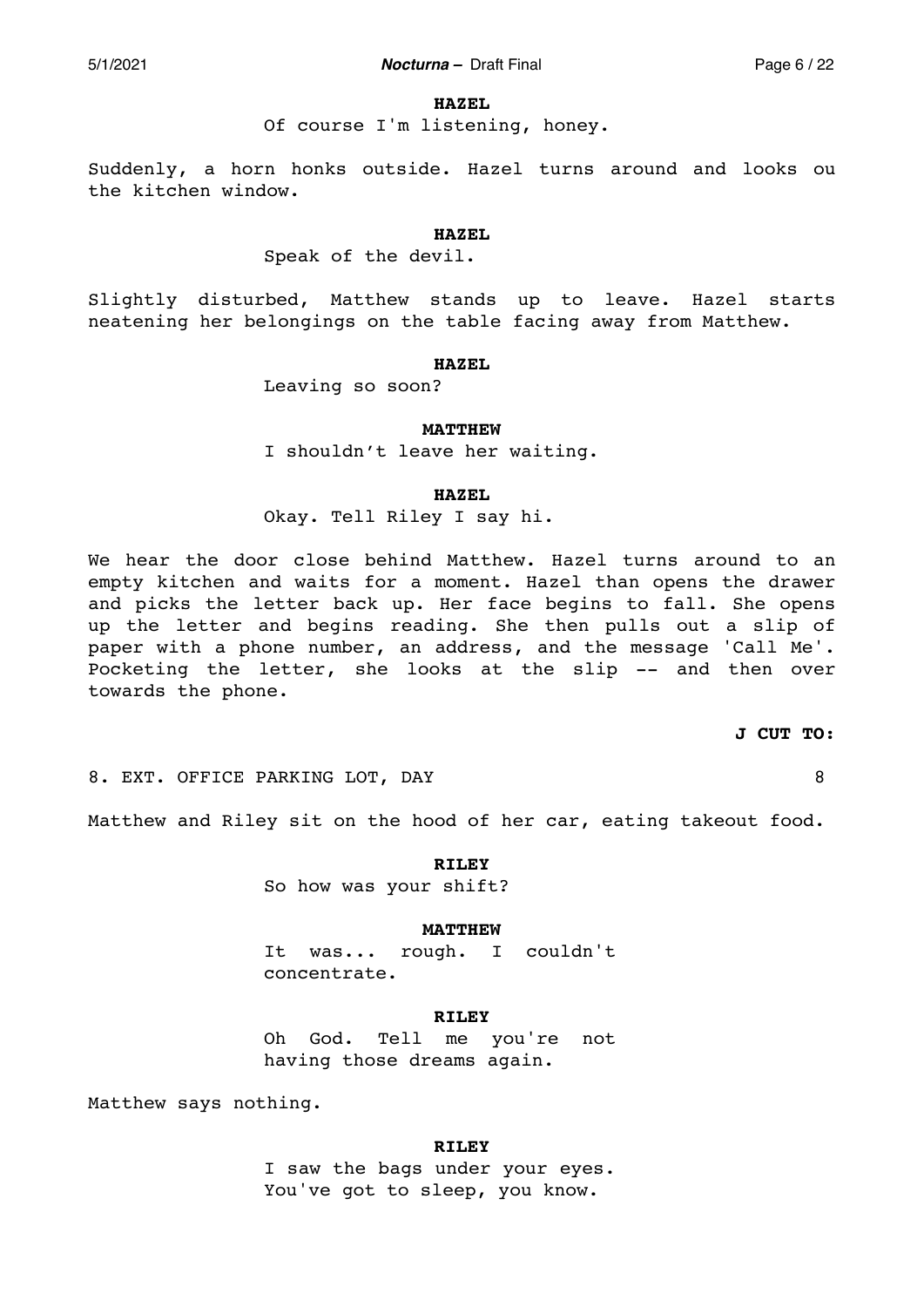### **HAZEL**

Of course I'm listening, honey.

Suddenly, a horn honks outside. Hazel turns around and looks ou the kitchen window.

## **HAZEL**

## Speak of the devil.

Slightly disturbed, Matthew stands up to leave. Hazel starts neatening her belongings on the table facing away from Matthew.

## **HAZEL**

Leaving so soon?

#### **MATTHEW**

I shouldn't leave her waiting.

## **HAZEL**

Okay. Tell Riley I say hi.

We hear the door close behind Matthew. Hazel turns around to an empty kitchen and waits for a moment. Hazel than opens the drawer and picks the letter back up. Her face begins to fall. She opens up the letter and begins reading. She then pulls out a slip of paper with a phone number, an address, and the message 'Call Me'. Pocketing the letter, she looks at the slip -- and then over towards the phone.

### **J CUT TO:**

8. EXT. OFFICE PARKING LOT, DAY 88

Matthew and Riley sit on the hood of her car, eating takeout food.

**RILEY**  So how was your shift?

### **MATTHEW**

It was... rough. I couldn't concentrate.

## **RILEY**

Oh God. Tell me you're not having those dreams again.

Matthew says nothing.

# **RILEY**

I saw the bags under your eyes. You've got to sleep, you know.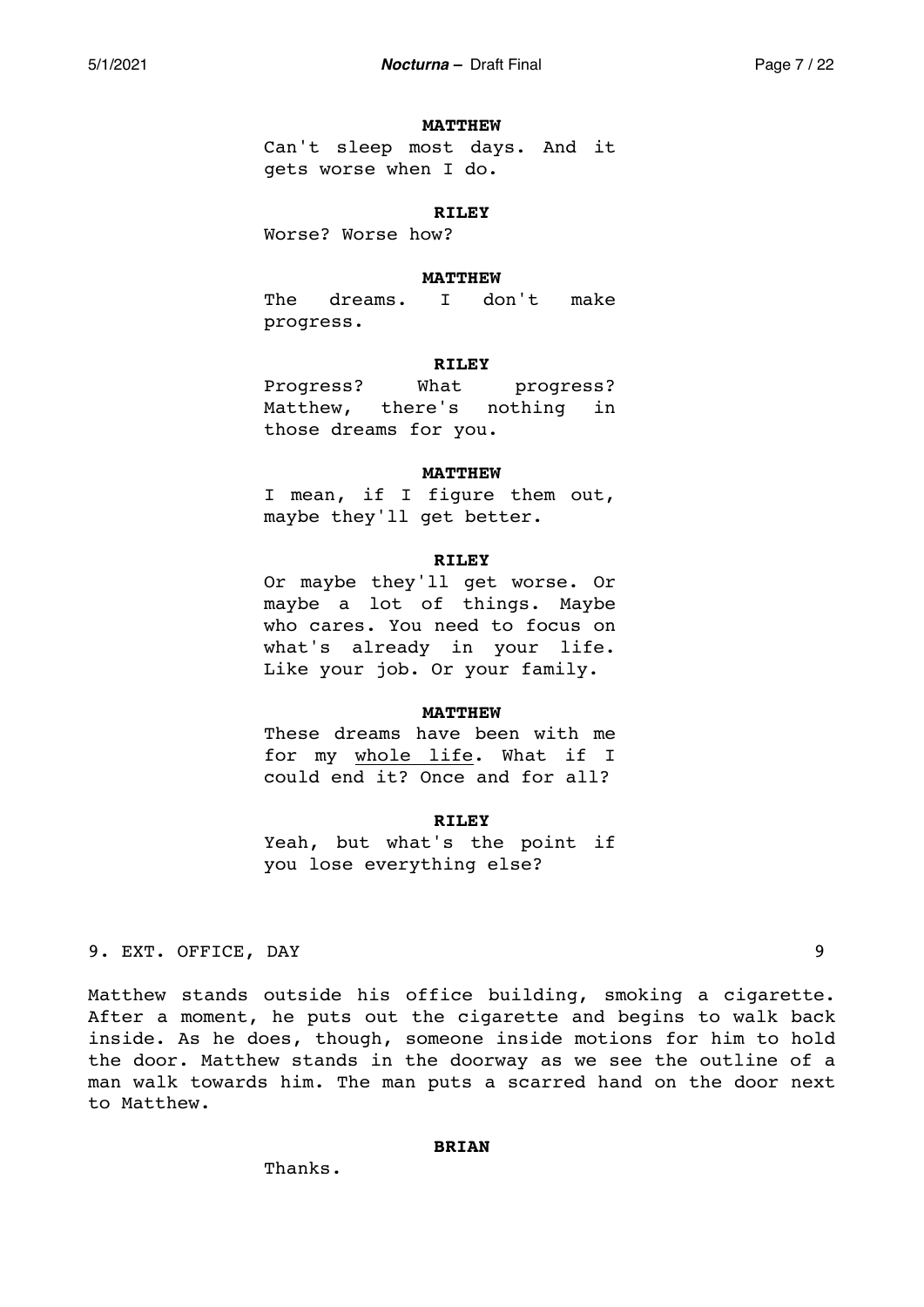### **MATTHEW**

Can't sleep most days. And it gets worse when I do.

### **RILEY**

Worse? Worse how?

## **MATTHEW**

The dreams. I don't make progress.

## **RILEY**

Progress? What progress? Matthew, there's nothing in those dreams for you.

## **MATTHEW**

I mean, if I figure them out, maybe they'll get better.

## **RILEY**

Or maybe they'll get worse. Or maybe a lot of things. Maybe who cares. You need to focus on what's already in your life. Like your job. Or your family.

## **MATTHEW**

These dreams have been with me for my whole life. What if I could end it? Once and for all?

### **RILEY**

Yeah, but what's the point if you lose everything else?

# 9. EXT. OFFICE, DAY 9

Matthew stands outside his office building, smoking a cigarette. After a moment, he puts out the cigarette and begins to walk back inside. As he does, though, someone inside motions for him to hold the door. Matthew stands in the doorway as we see the outline of a man walk towards him. The man puts a scarred hand on the door next to Matthew.

## **BRIAN**

Thanks.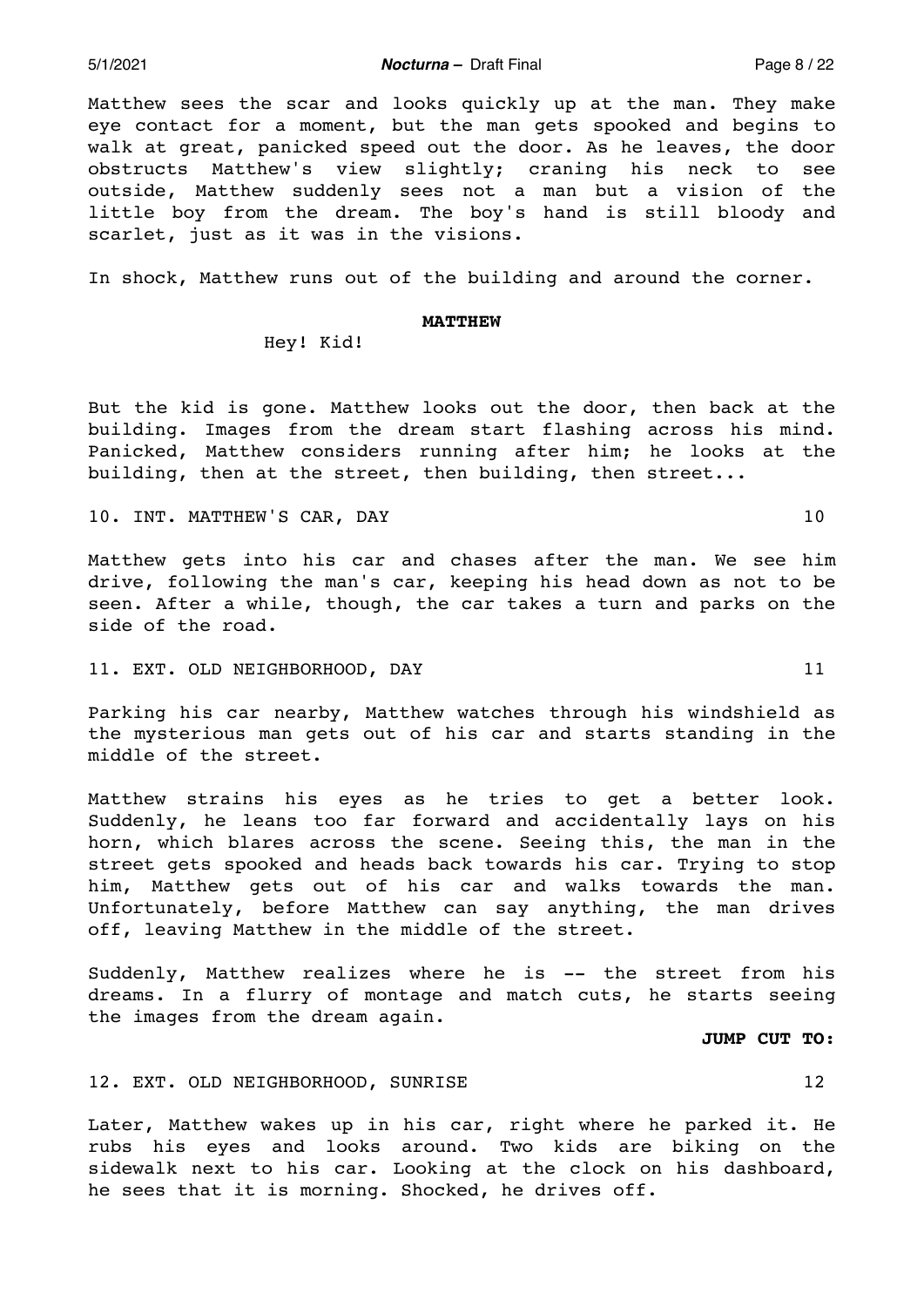Matthew sees the scar and looks quickly up at the man. They make eye contact for a moment, but the man gets spooked and begins to walk at great, panicked speed out the door. As he leaves, the door obstructs Matthew's view slightly; craning his neck to see outside, Matthew suddenly sees not a man but a vision of the little boy from the dream. The boy's hand is still bloody and scarlet, just as it was in the visions.

In shock, Matthew runs out of the building and around the corner.

#### **MATTHEW**

Hey! Kid!

But the kid is gone. Matthew looks out the door, then back at the building. Images from the dream start flashing across his mind. Panicked, Matthew considers running after him; he looks at the building, then at the street, then building, then street...

10. INT. MATTHEW'S CAR, DAY 10

Matthew gets into his car and chases after the man. We see him drive, following the man's car, keeping his head down as not to be seen. After a while, though, the car takes a turn and parks on the side of the road.

## 11. EXT. OLD NEIGHBORHOOD, DAY 11

Parking his car nearby, Matthew watches through his windshield as the mysterious man gets out of his car and starts standing in the middle of the street.

Matthew strains his eyes as he tries to get a better look. Suddenly, he leans too far forward and accidentally lays on his horn, which blares across the scene. Seeing this, the man in the street gets spooked and heads back towards his car. Trying to stop him, Matthew gets out of his car and walks towards the man. Unfortunately, before Matthew can say anything, the man drives off, leaving Matthew in the middle of the street.

Suddenly, Matthew realizes where he is -- the street from his dreams. In a flurry of montage and match cuts, he starts seeing the images from the dream again.

**JUMP CUT TO:** 

# 12. EXT. OLD NEIGHBORHOOD, SUNRISE 12

Later, Matthew wakes up in his car, right where he parked it. He rubs his eyes and looks around. Two kids are biking on the sidewalk next to his car. Looking at the clock on his dashboard, he sees that it is morning. Shocked, he drives off.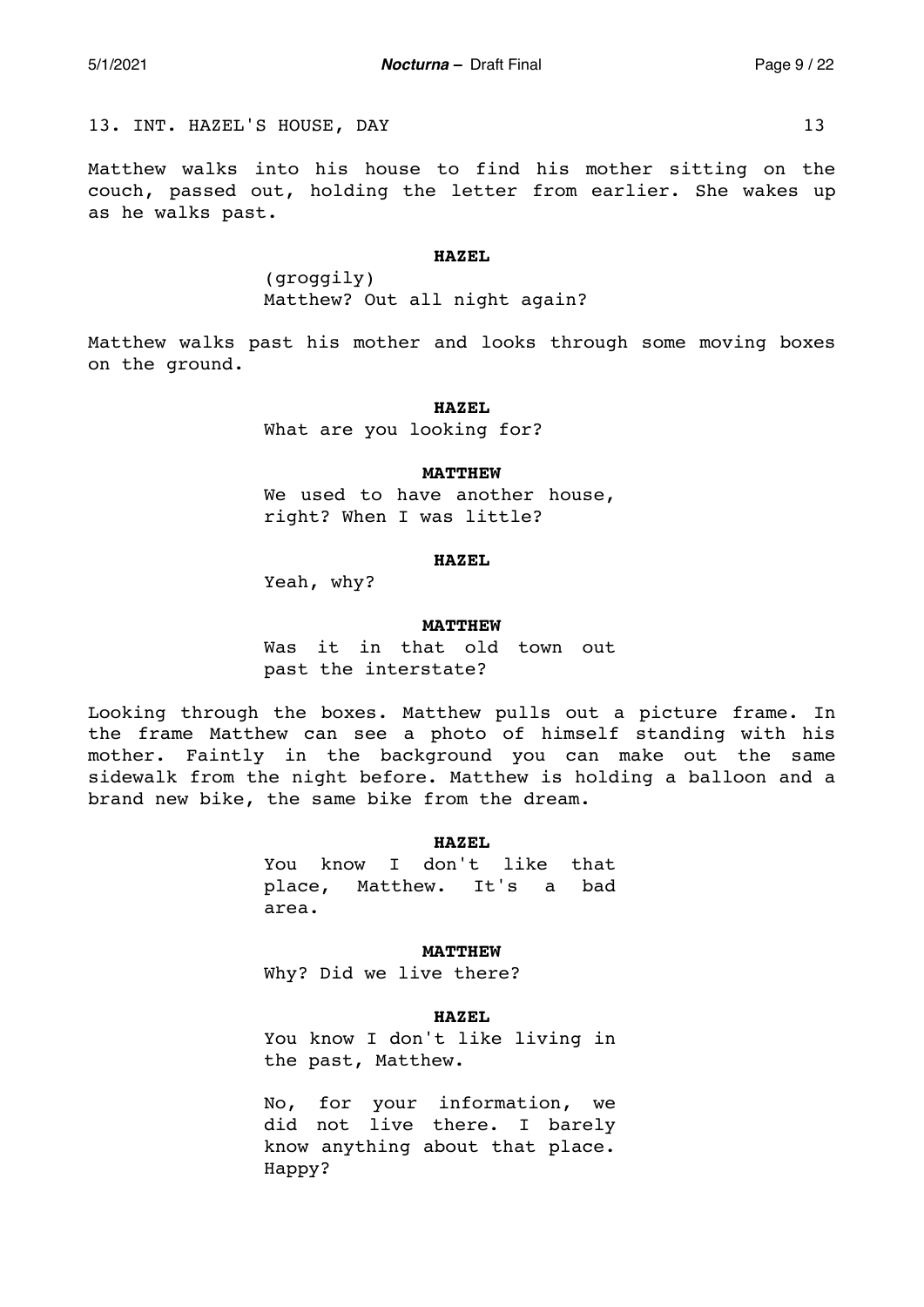13. INT. HAZEL'S HOUSE, DAY 13

Matthew walks into his house to find his mother sitting on the couch, passed out, holding the letter from earlier. She wakes up as he walks past.

#### **HAZEL**

(groggily) Matthew? Out all night again?

Matthew walks past his mother and looks through some moving boxes on the ground.

#### **HAZEL**

What are you looking for?

## **MATTHEW**

We used to have another house, right? When I was little?

### **HAZEL**

Yeah, why?

## **MATTHEW**

Was it in that old town out past the interstate?

Looking through the boxes. Matthew pulls out a picture frame. In the frame Matthew can see a photo of himself standing with his mother. Faintly in the background you can make out the same sidewalk from the night before. Matthew is holding a balloon and a brand new bike, the same bike from the dream.

## **HAZEL**

You know I don't like that place, Matthew. It's a bad area.

**MATTHEW** 

Why? Did we live there?

### **HAZEL**

You know I don't like living in the past, Matthew.

No, for your information, we did not live there. I barely know anything about that place. Happy?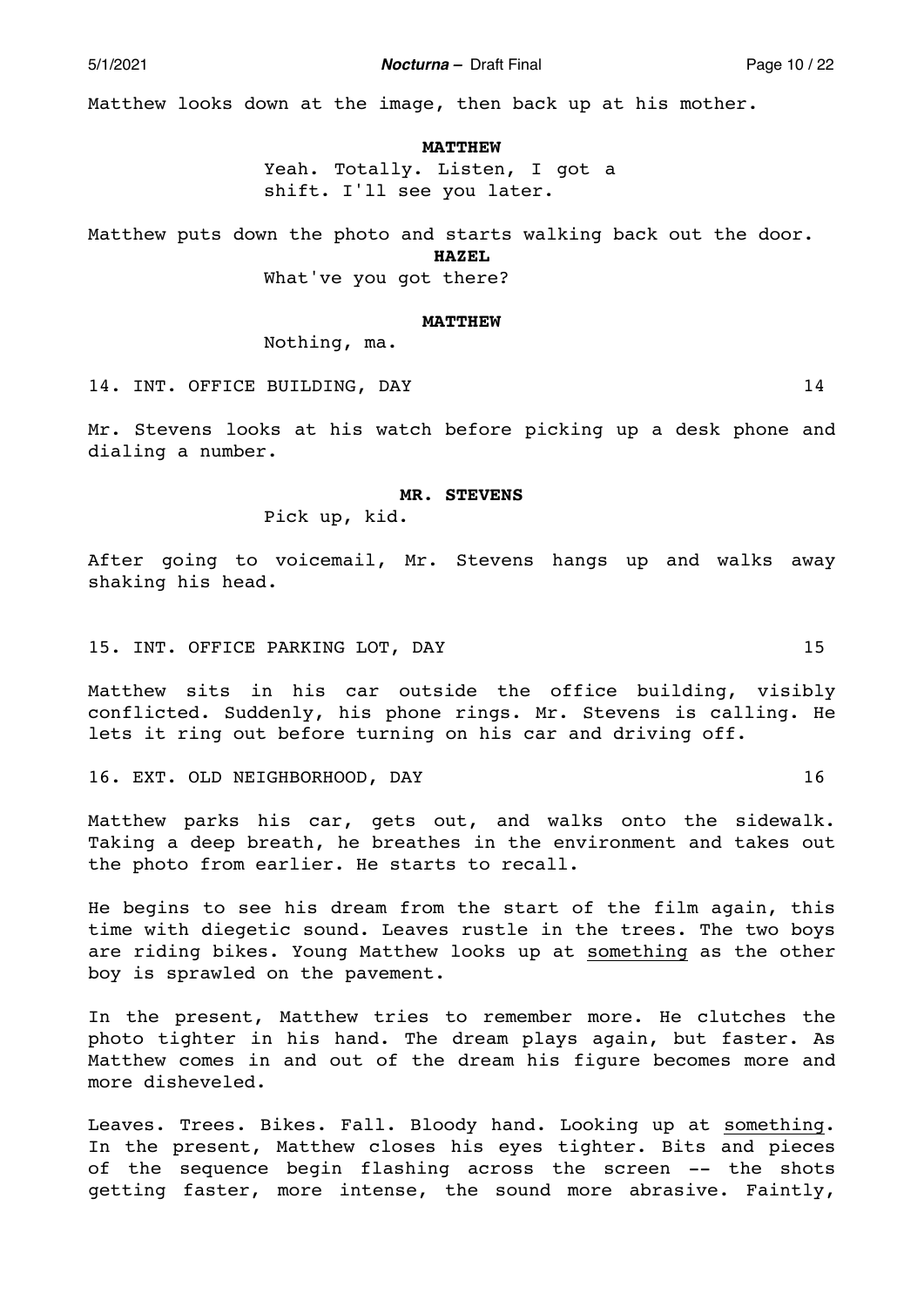Matthew looks down at the image, then back up at his mother.

#### **MATTHEW**

Yeah. Totally. Listen, I got a shift. I'll see you later.

Matthew puts down the photo and starts walking back out the door. **HAZEL** 

What've you got there?

#### **MATTHEW**

Nothing, ma.

14. INT. OFFICE BUILDING, DAY 14

Mr. Stevens looks at his watch before picking up a desk phone and dialing a number.

## **MR. STEVENS**

Pick up, kid.

After going to voicemail, Mr. Stevens hangs up and walks away shaking his head.

15. INT. OFFICE PARKING LOT, DAY 15

Matthew sits in his car outside the office building, visibly conflicted. Suddenly, his phone rings. Mr. Stevens is calling. He lets it ring out before turning on his car and driving off.

16. EXT. OLD NEIGHBORHOOD, DAY 16

Matthew parks his car, gets out, and walks onto the sidewalk. Taking a deep breath, he breathes in the environment and takes out the photo from earlier. He starts to recall.

He begins to see his dream from the start of the film again, this time with diegetic sound. Leaves rustle in the trees. The two boys are riding bikes. Young Matthew looks up at something as the other boy is sprawled on the pavement.

In the present, Matthew tries to remember more. He clutches the photo tighter in his hand. The dream plays again, but faster. As Matthew comes in and out of the dream his figure becomes more and more disheveled.

Leaves. Trees. Bikes. Fall. Bloody hand. Looking up at something. In the present, Matthew closes his eyes tighter. Bits and pieces of the sequence begin flashing across the screen -- the shots getting faster, more intense, the sound more abrasive. Faintly,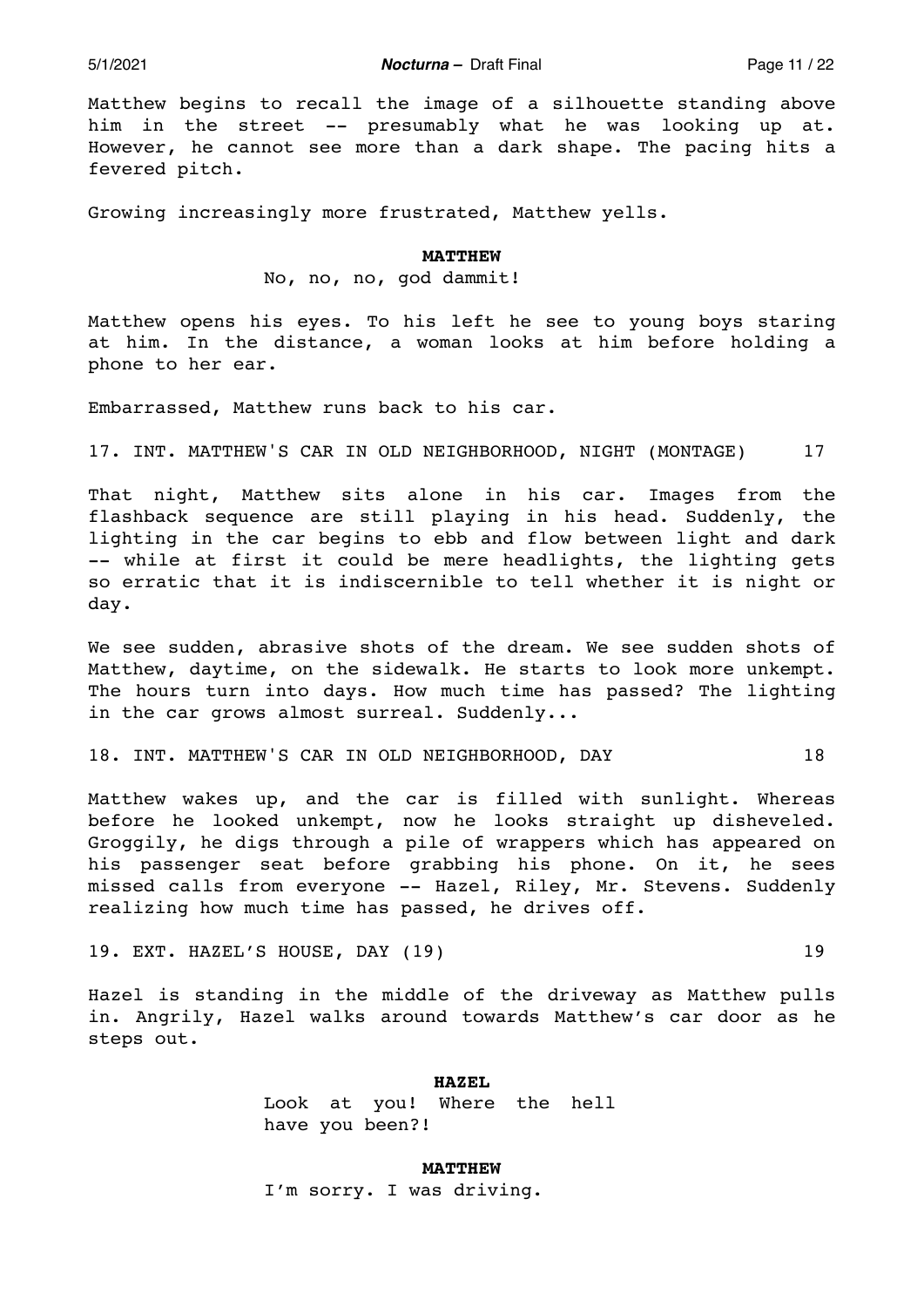5/1/2021 *Nocturna –* Draft Final Page 11 / 22

Matthew begins to recall the image of a silhouette standing above him in the street -- presumably what he was looking up at. However, he cannot see more than a dark shape. The pacing hits a fevered pitch.

Growing increasingly more frustrated, Matthew yells.

#### **MATTHEW**

No, no, no, god dammit!

Matthew opens his eyes. To his left he see to young boys staring at him. In the distance, a woman looks at him before holding a phone to her ear.

Embarrassed, Matthew runs back to his car.

17. INT. MATTHEW'S CAR IN OLD NEIGHBORHOOD, NIGHT (MONTAGE) 17

That night, Matthew sits alone in his car. Images from the flashback sequence are still playing in his head. Suddenly, the lighting in the car begins to ebb and flow between light and dark -- while at first it could be mere headlights, the lighting gets so erratic that it is indiscernible to tell whether it is night or day.

We see sudden, abrasive shots of the dream. We see sudden shots of Matthew, daytime, on the sidewalk. He starts to look more unkempt. The hours turn into days. How much time has passed? The lighting in the car grows almost surreal. Suddenly...

18. INT. MATTHEW'S CAR IN OLD NEIGHBORHOOD, DAY 18

Matthew wakes up, and the car is filled with sunlight. Whereas before he looked unkempt, now he looks straight up disheveled. Groggily, he digs through a pile of wrappers which has appeared on his passenger seat before grabbing his phone. On it, he sees missed calls from everyone -- Hazel, Riley, Mr. Stevens. Suddenly realizing how much time has passed, he drives off.

19. EXT. HAZEL'S HOUSE, DAY (19) 19

Hazel is standing in the middle of the driveway as Matthew pulls in. Angrily, Hazel walks around towards Matthew's car door as he steps out.

**HAZEL** 

Look at you! Where the hell have you been?!

**MATTHEW**  I'm sorry. I was driving.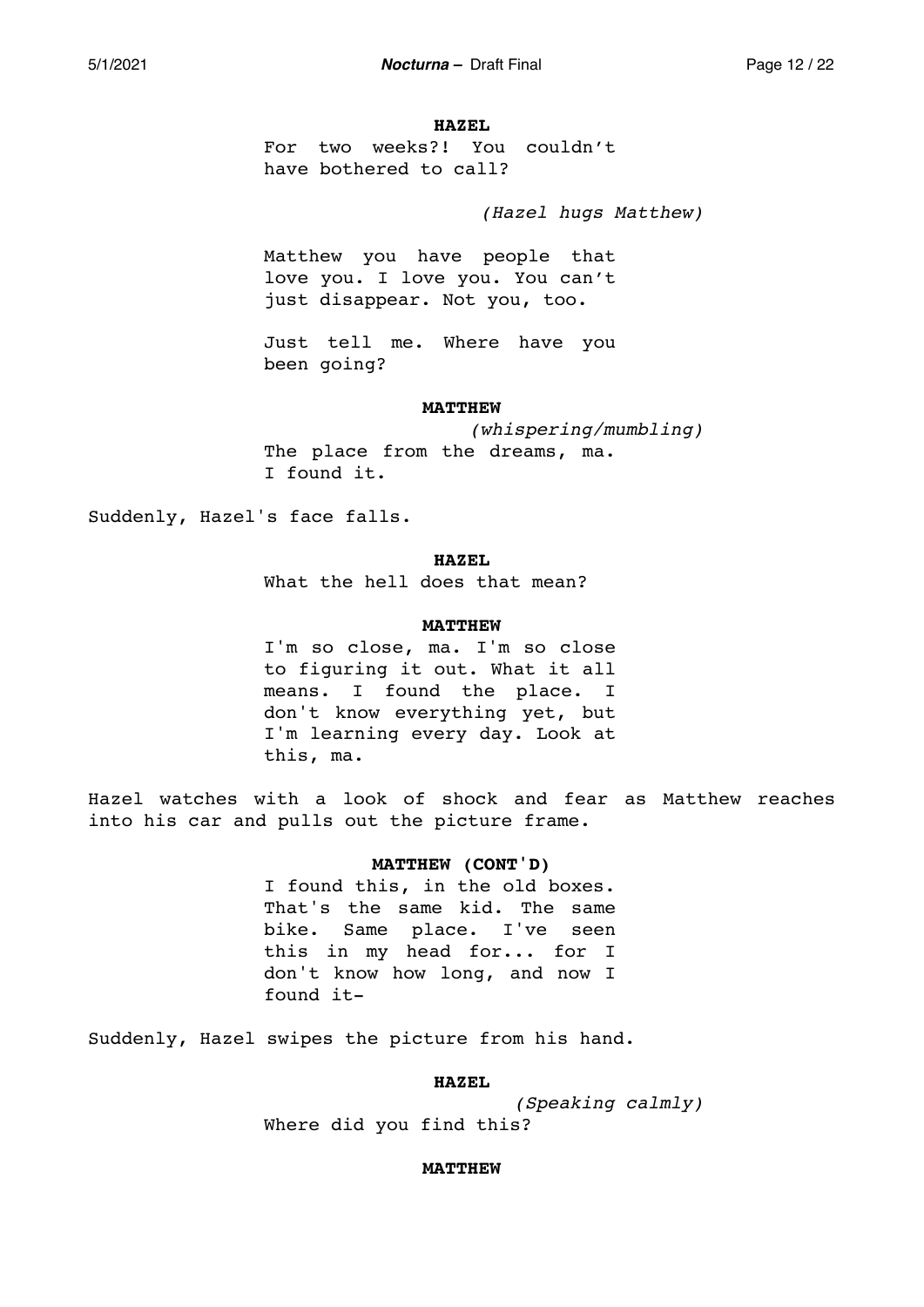### **HAZEL**

For two weeks?! You couldn't have bothered to call?

*(Hazel hugs Matthew)* 

Matthew you have people that love you. I love you. You can't just disappear. Not you, too.

Just tell me. Where have you been going?

#### **MATTHEW**

*(whispering/mumbling)*  The place from the dreams, ma. I found it.

Suddenly, Hazel's face falls.

### **HAZEL**

What the hell does that mean?

## **MATTHEW**

I'm so close, ma. I'm so close to figuring it out. What it all means. I found the place. I don't know everything yet, but I'm learning every day. Look at this, ma.

Hazel watches with a look of shock and fear as Matthew reaches into his car and pulls out the picture frame.

## **MATTHEW (CONT'D)**

I found this, in the old boxes. That's the same kid. The same bike. Same place. I've seen this in my head for... for I don't know how long, and now I found it-

Suddenly, Hazel swipes the picture from his hand.

### **HAZEL**

*(Speaking calmly)*  Where did you find this?

## **MATTHEW**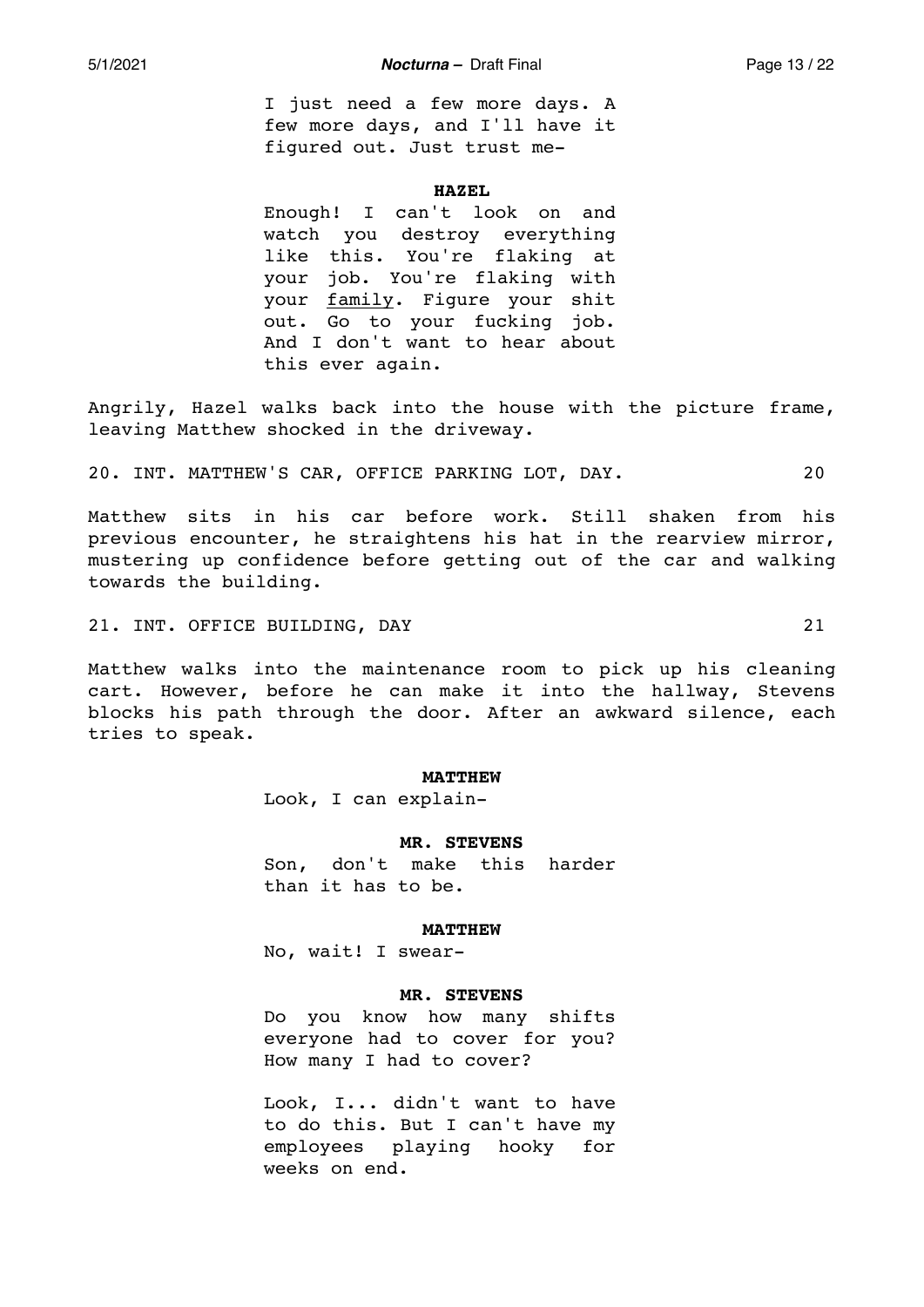I just need a few more days. A few more days, and I'll have it figured out. Just trust me-

### **HAZEL**

Enough! I can't look on and watch you destroy everything like this. You're flaking at your job. You're flaking with your family. Figure your shit out. Go to your fucking job. And I don't want to hear about this ever again.

Angrily, Hazel walks back into the house with the picture frame, leaving Matthew shocked in the driveway.

20. INT. MATTHEW'S CAR, OFFICE PARKING LOT, DAY. 20

Matthew sits in his car before work. Still shaken from his previous encounter, he straightens his hat in the rearview mirror, mustering up confidence before getting out of the car and walking towards the building.

21. INT. OFFICE BUILDING, DAY 21

Matthew walks into the maintenance room to pick up his cleaning cart. However, before he can make it into the hallway, Stevens blocks his path through the door. After an awkward silence, each tries to speak.

### **MATTHEW**

Look, I can explain-

## **MR. STEVENS**

Son, don't make this harder than it has to be.

#### **MATTHEW**

No, wait! I swear-

## **MR. STEVENS**

Do you know how many shifts everyone had to cover for you? How many I had to cover?

Look, I... didn't want to have to do this. But I can't have my employees playing hooky for weeks on end.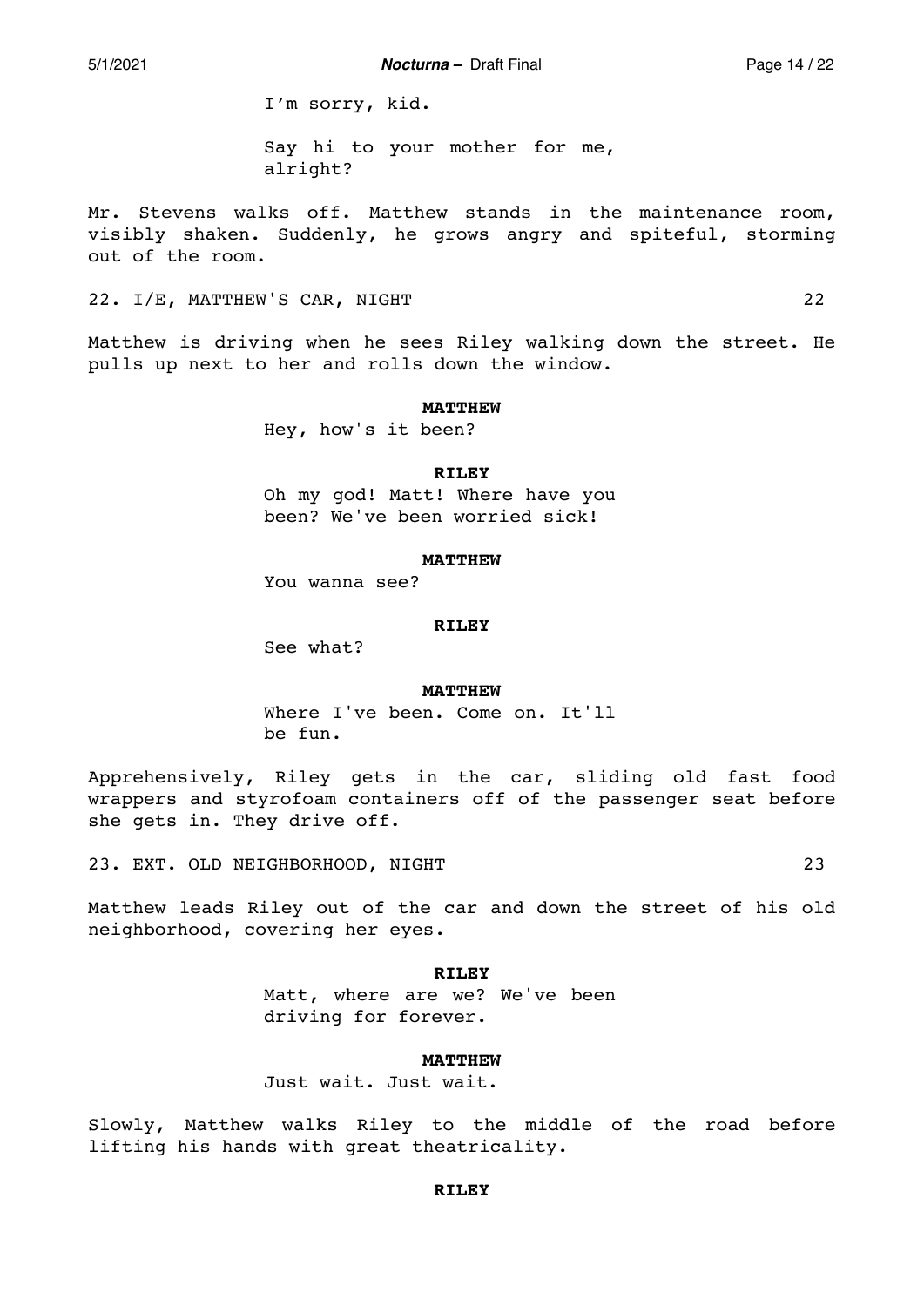5/1/2021 *Nocturna –* Draft Final Page 14 / 22

I'm sorry, kid.

Say hi to your mother for me, alright?

Mr. Stevens walks off. Matthew stands in the maintenance room, visibly shaken. Suddenly, he grows angry and spiteful, storming out of the room.

22. I/E, MATTHEW'S CAR, NIGHT 22

Matthew is driving when he sees Riley walking down the street. He pulls up next to her and rolls down the window.

### **MATTHEW**

Hey, how's it been?

## **RILEY**

Oh my god! Matt! Where have you been? We've been worried sick!

## **MATTHEW**

You wanna see?

## **RILEY**

See what?

## **MATTHEW**

Where I've been. Come on. It'll be fun.

Apprehensively, Riley gets in the car, sliding old fast food wrappers and styrofoam containers off of the passenger seat before she gets in. They drive off.

23. EXT. OLD NEIGHBORHOOD, NIGHT 23

Matthew leads Riley out of the car and down the street of his old neighborhood, covering her eyes.

#### **RILEY**

Matt, where are we? We've been driving for forever.

### **MATTHEW**

Just wait. Just wait.

Slowly, Matthew walks Riley to the middle of the road before lifting his hands with great theatricality.

## **RILEY**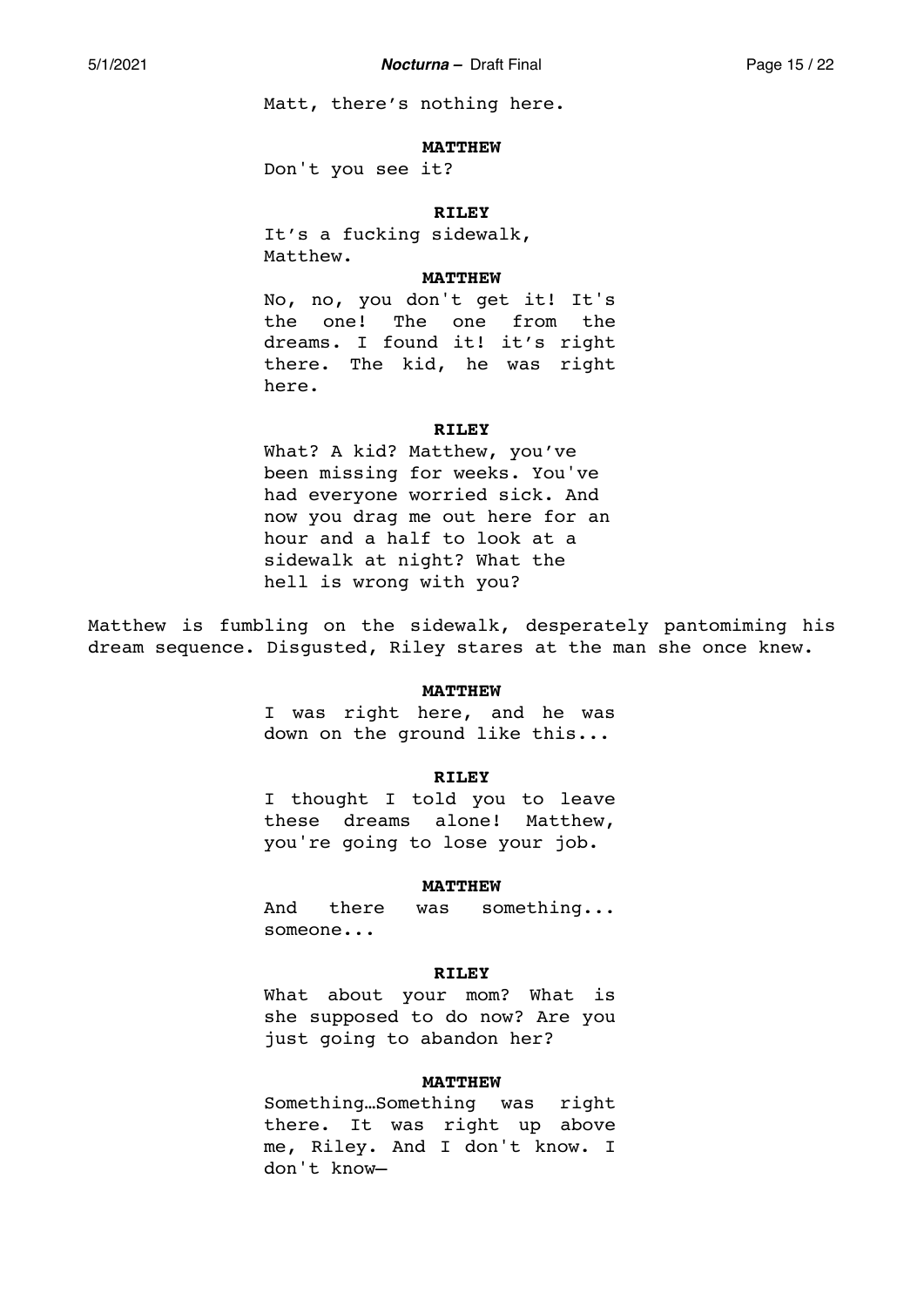Matt, there's nothing here.

### **MATTHEW**

Don't you see it?

## **RILEY**

It's a fucking sidewalk, Matthew.

## **MATTHEW**

No, no, you don't get it! It's the one! The one from the dreams. I found it! it's right there. The kid, he was right here.

#### **RILEY**

What? A kid? Matthew, you've been missing for weeks. You've had everyone worried sick. And now you drag me out here for an hour and a half to look at a sidewalk at night? What the hell is wrong with you?

Matthew is fumbling on the sidewalk, desperately pantomiming his dream sequence. Disgusted, Riley stares at the man she once knew.

### **MATTHEW**

I was right here, and he was down on the ground like this...

## **RILEY**

I thought I told you to leave these dreams alone! Matthew, you're going to lose your job.

## **MATTHEW**

And there was something... someone...

#### **RILEY**

What about your mom? What is she supposed to do now? Are you just going to abandon her?

## **MATTHEW**

Something…Something was right there. It was right up above me, Riley. And I don't know. I don't know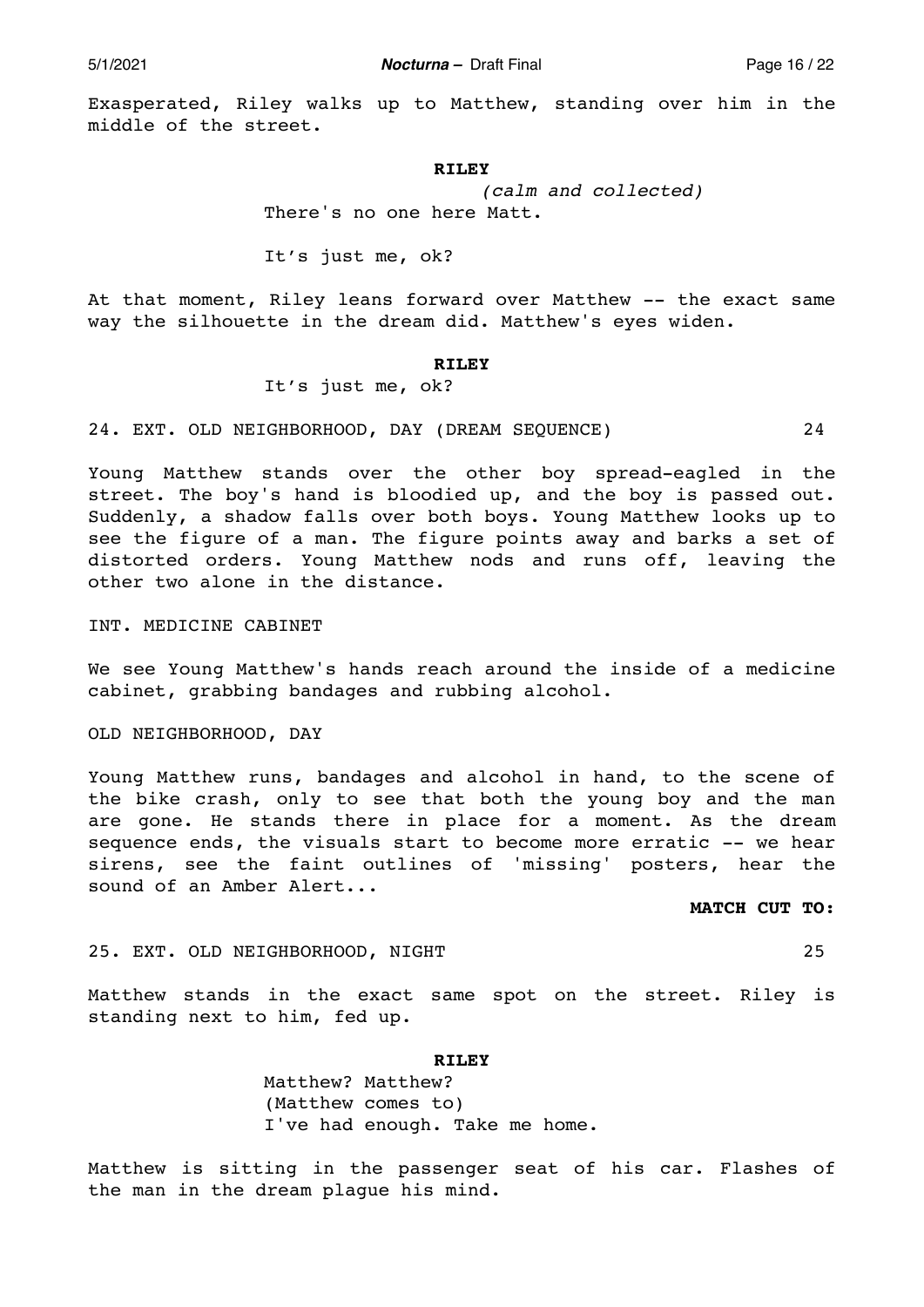Exasperated, Riley walks up to Matthew, standing over him in the middle of the street.

#### **RILEY**

*(calm and collected)*  There's no one here Matt.

It's just me, ok?

At that moment, Riley leans forward over Matthew -- the exact same way the silhouette in the dream did. Matthew's eyes widen.

## **RILEY**

It's just me, ok?

24. EXT. OLD NEIGHBORHOOD, DAY (DREAM SEQUENCE) 24

Young Matthew stands over the other boy spread-eagled in the street. The boy's hand is bloodied up, and the boy is passed out. Suddenly, a shadow falls over both boys. Young Matthew looks up to see the figure of a man. The figure points away and barks a set of distorted orders. Young Matthew nods and runs off, leaving the other two alone in the distance.

INT. MEDICINE CABINET

We see Young Matthew's hands reach around the inside of a medicine cabinet, grabbing bandages and rubbing alcohol.

OLD NEIGHBORHOOD, DAY

Young Matthew runs, bandages and alcohol in hand, to the scene of the bike crash, only to see that both the young boy and the man are gone. He stands there in place for a moment. As the dream sequence ends, the visuals start to become more erratic -- we hear sirens, see the faint outlines of 'missing' posters, hear the sound of an Amber Alert...

**MATCH CUT TO:** 

25. EXT. OLD NEIGHBORHOOD, NIGHT 25

Matthew stands in the exact same spot on the street. Riley is standing next to him, fed up.

**RILEY** 

Matthew? Matthew? (Matthew comes to) I've had enough. Take me home.

Matthew is sitting in the passenger seat of his car. Flashes of the man in the dream plague his mind.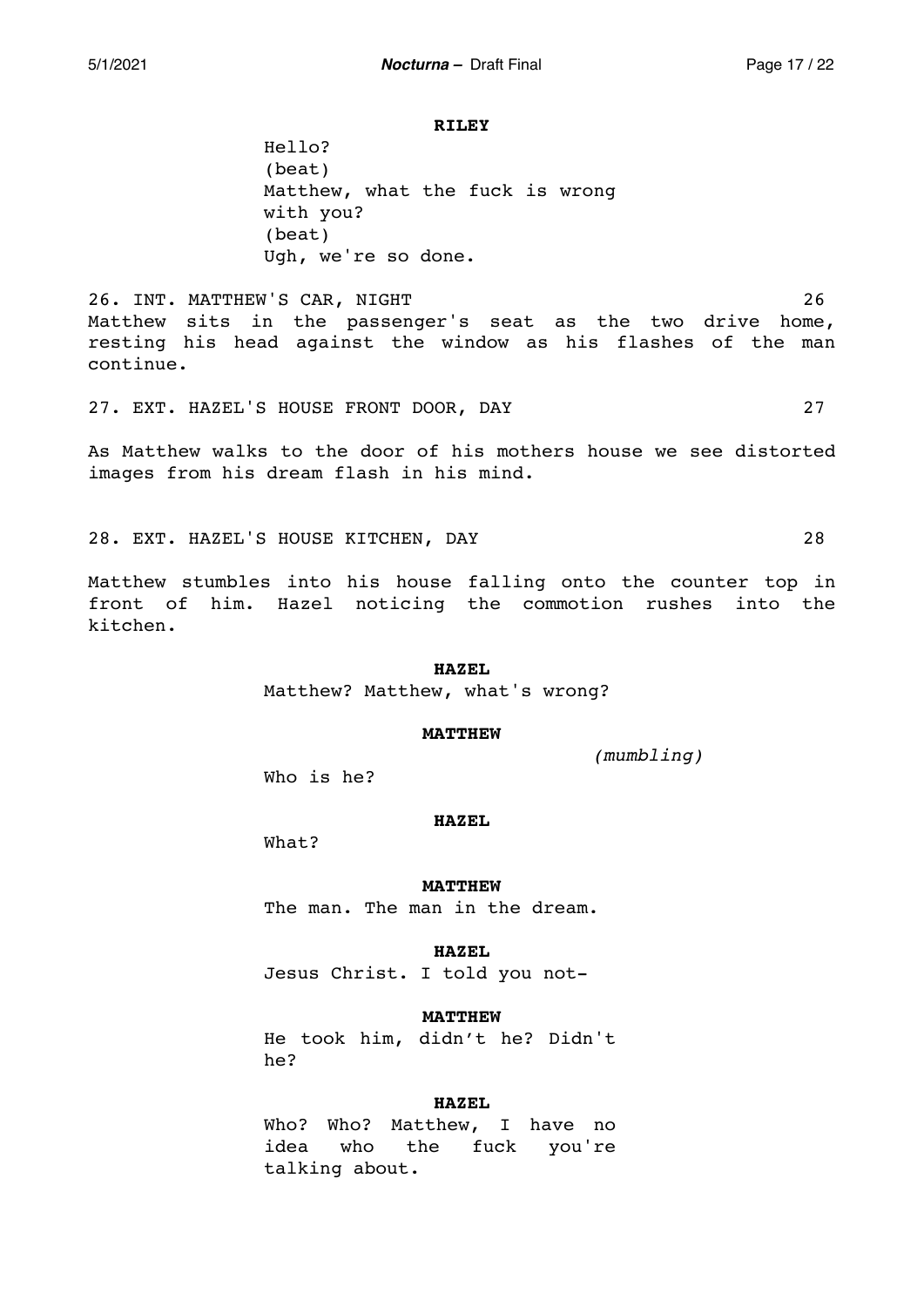#### **RILEY**

Hello? (beat) Matthew, what the fuck is wrong with you? (beat) Ugh, we're so done.

26. INT. MATTHEW'S CAR, NIGHT 26 Matthew sits in the passenger's seat as the two drive home, resting his head against the window as his flashes of the man continue.

27. EXT. HAZEL'S HOUSE FRONT DOOR, DAY 27

As Matthew walks to the door of his mothers house we see distorted images from his dream flash in his mind.

28. EXT. HAZEL'S HOUSE KITCHEN, DAY 28

Matthew stumbles into his house falling onto the counter top in front of him. Hazel noticing the commotion rushes into the kitchen.

## **HAZEL**

Matthew? Matthew, what's wrong?

### **MATTHEW**

*(mumbling)*

Who is he?

### **HAZEL**

What?

## **MATTHEW**

The man. The man in the dream.

### **HAZEL**

Jesus Christ. I told you not-

## **MATTHEW**

He took him, didn't he? Didn't he?

## **HAZEL**

Who? Who? Matthew, I have no idea who the fuck you're talking about.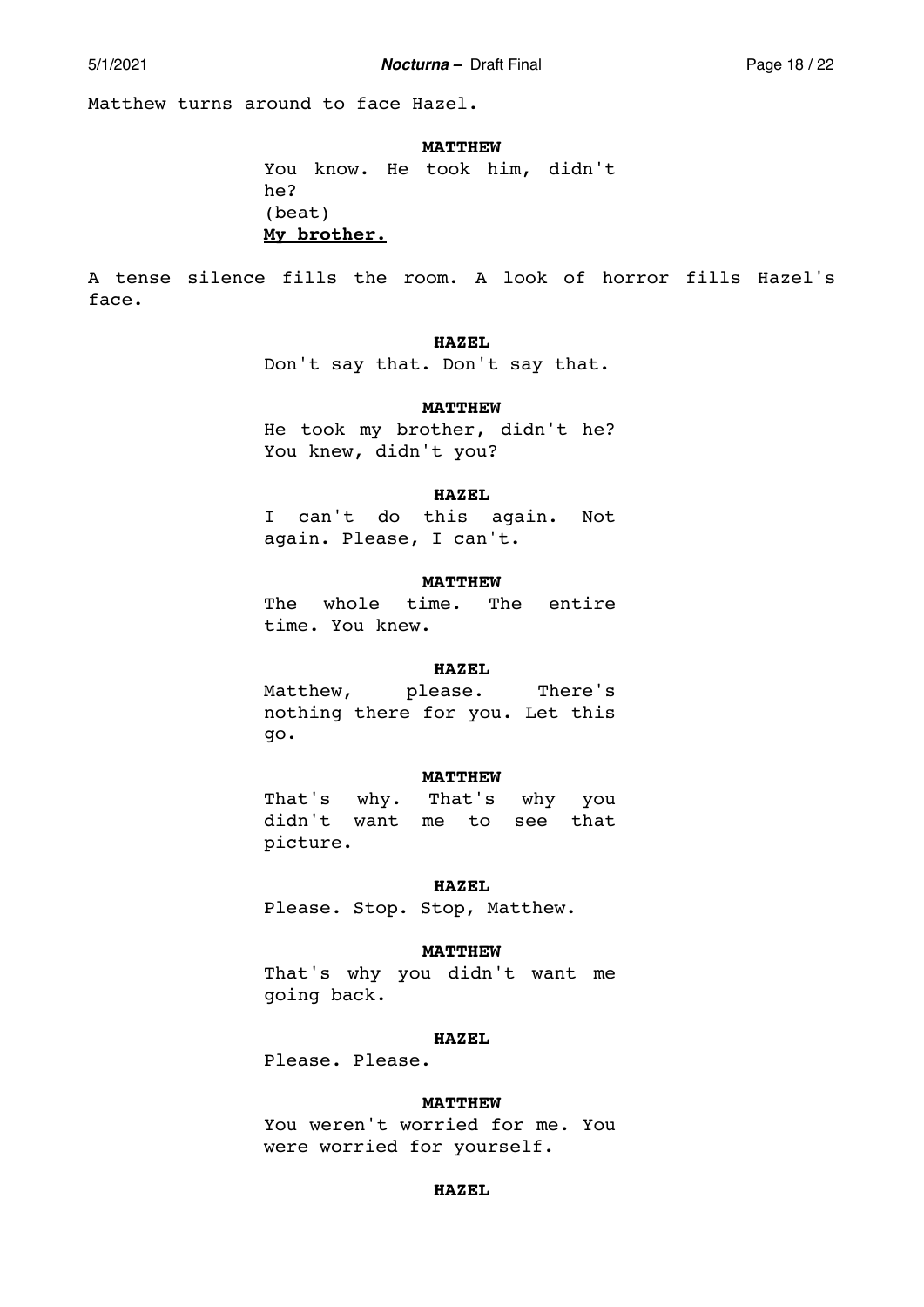5/1/2021 *Nocturna –* Draft Final Page 18 / 22

Matthew turns around to face Hazel.

**MATTHEW** 

You know. He took him, didn't he? (beat) **My brother.** 

A tense silence fills the room. A look of horror fills Hazel's face.

## **HAZEL**

Don't say that. Don't say that.

## **MATTHEW**

He took my brother, didn't he? You knew, didn't you?

## **HAZEL**

I can't do this again. Not again. Please, I can't.

## **MATTHEW**

The whole time. The entire time. You knew.

## **HAZEL**

Matthew, please. There's nothing there for you. Let this go.

#### **MATTHEW**

That's why. That's why you didn't want me to see that picture.

#### **HAZEL**

Please. Stop. Stop, Matthew.

#### **MATTHEW**

That's why you didn't want me going back.

## **HAZEL**

Please. Please.

## **MATTHEW**

You weren't worried for me. You were worried for yourself.

### **HAZEL**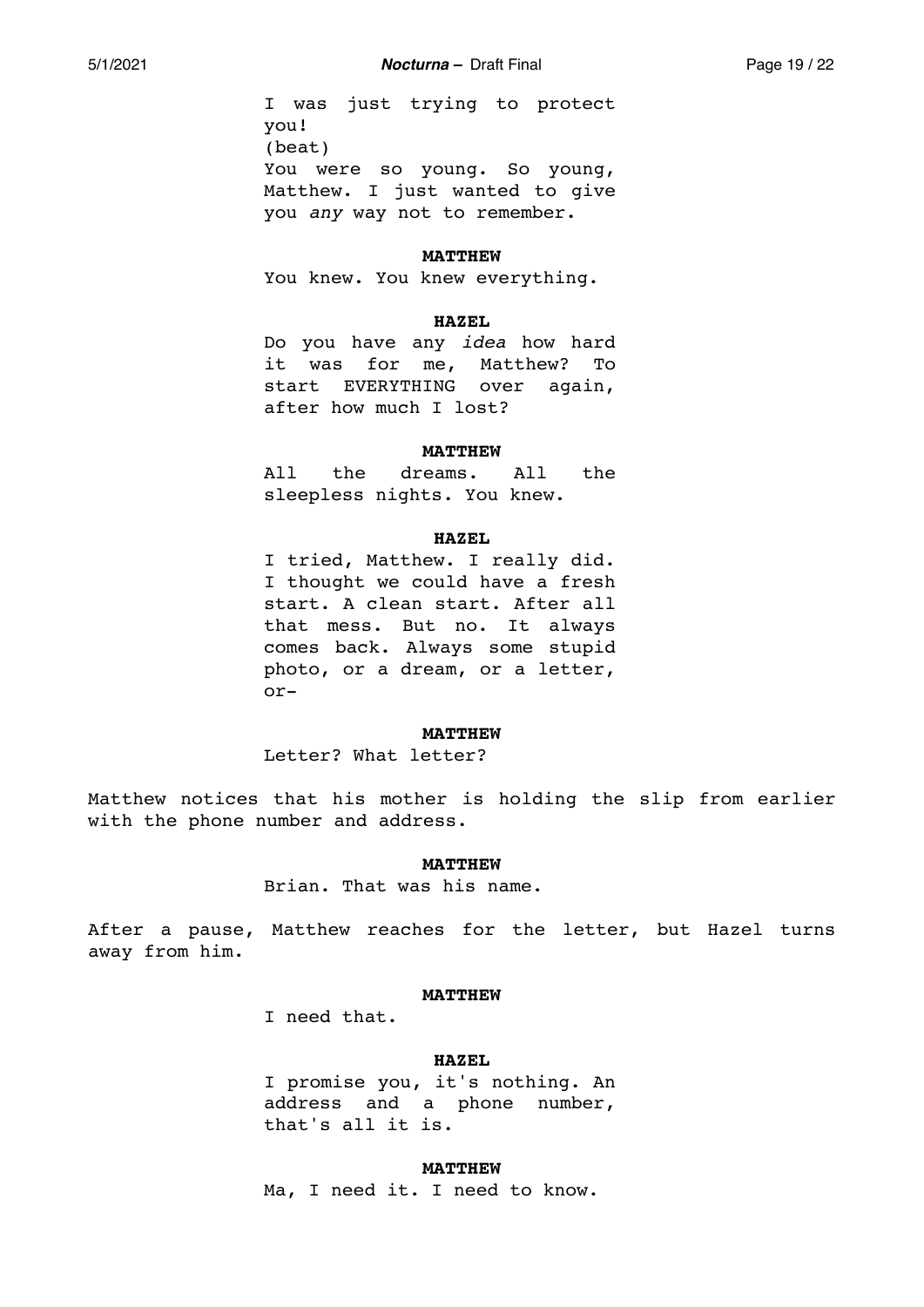I was just trying to protect you! (beat) You were so young. So young, Matthew. I just wanted to give you *any* way not to remember.

#### **MATTHEW**

You knew. You knew everything.

#### **HAZEL**

Do you have any *idea* how hard it was for me, Matthew? To start EVERYTHING over again, after how much I lost?

#### **MATTHEW**

All the dreams. All the sleepless nights. You knew.

### **HAZEL**

I tried, Matthew. I really did. I thought we could have a fresh start. A clean start. After all that mess. But no. It always comes back. Always some stupid photo, or a dream, or a letter, or-

#### **MATTHEW**

Letter? What letter?

Matthew notices that his mother is holding the slip from earlier with the phone number and address.

#### **MATTHEW**

Brian. That was his name.

After a pause, Matthew reaches for the letter, but Hazel turns away from him.

### **MATTHEW**

I need that.

## **HAZEL**

I promise you, it's nothing. An address and a phone number, that's all it is.

**MATTHEW** 

Ma, I need it. I need to know.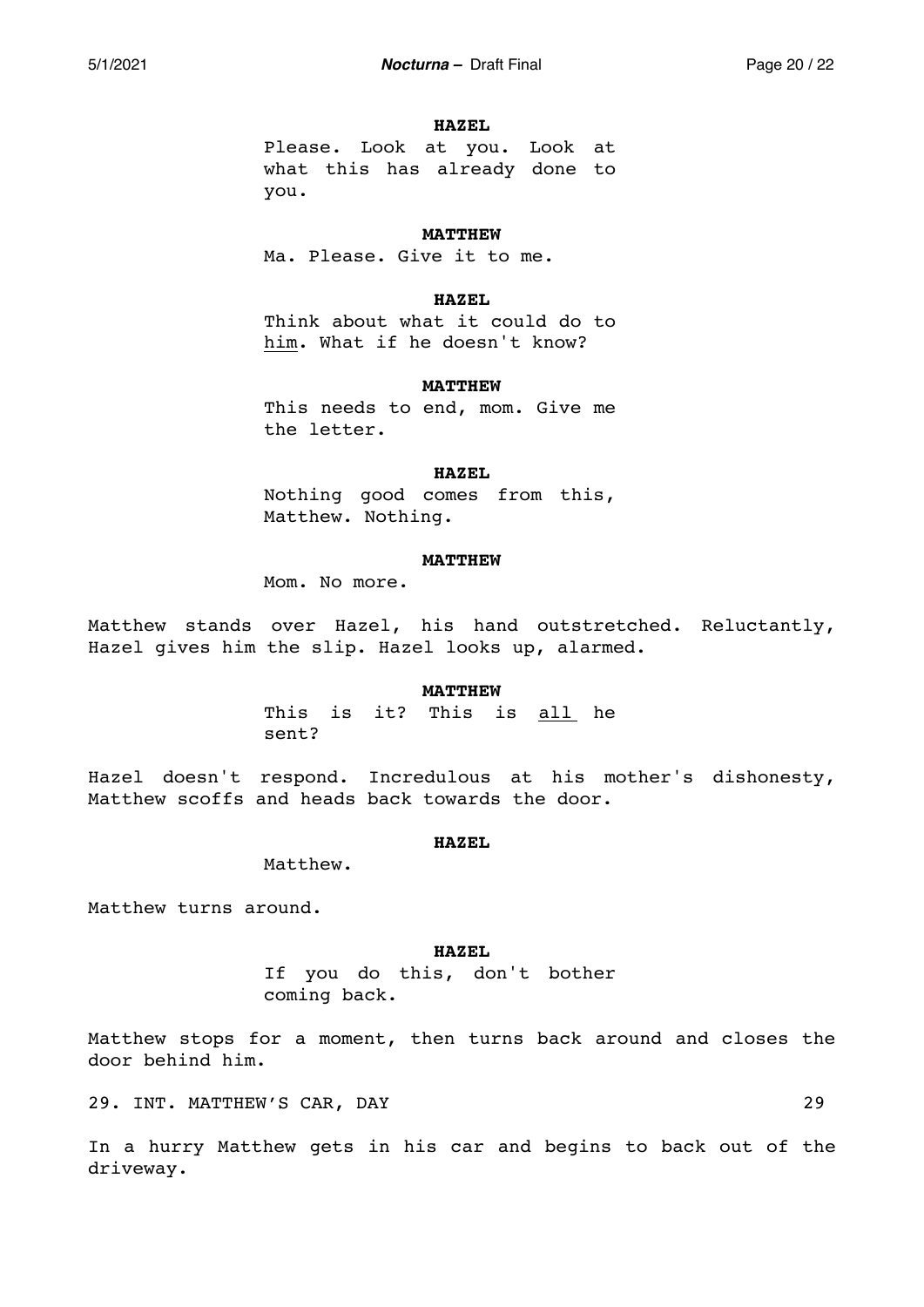#### **HAZEL**

Please. Look at you. Look at what this has already done to you.

## **MATTHEW**

Ma. Please. Give it to me.

## **HAZEL**

Think about what it could do to him. What if he doesn't know?

### **MATTHEW**

This needs to end, mom. Give me the letter.

## **HAZEL**

Nothing good comes from this, Matthew. Nothing.

## **MATTHEW**

Mom. No more.

Matthew stands over Hazel, his hand outstretched. Reluctantly, Hazel gives him the slip. Hazel looks up, alarmed.

### **MATTHEW**

This is it? This is all he sent?

Hazel doesn't respond. Incredulous at his mother's dishonesty, Matthew scoffs and heads back towards the door.

## **HAZEL**

Matthew.

Matthew turns around.

#### **HAZEL**

If you do this, don't bother coming back.

Matthew stops for a moment, then turns back around and closes the door behind him.

29. INT. MATTHEW'S CAR, DAY 29

In a hurry Matthew gets in his car and begins to back out of the driveway.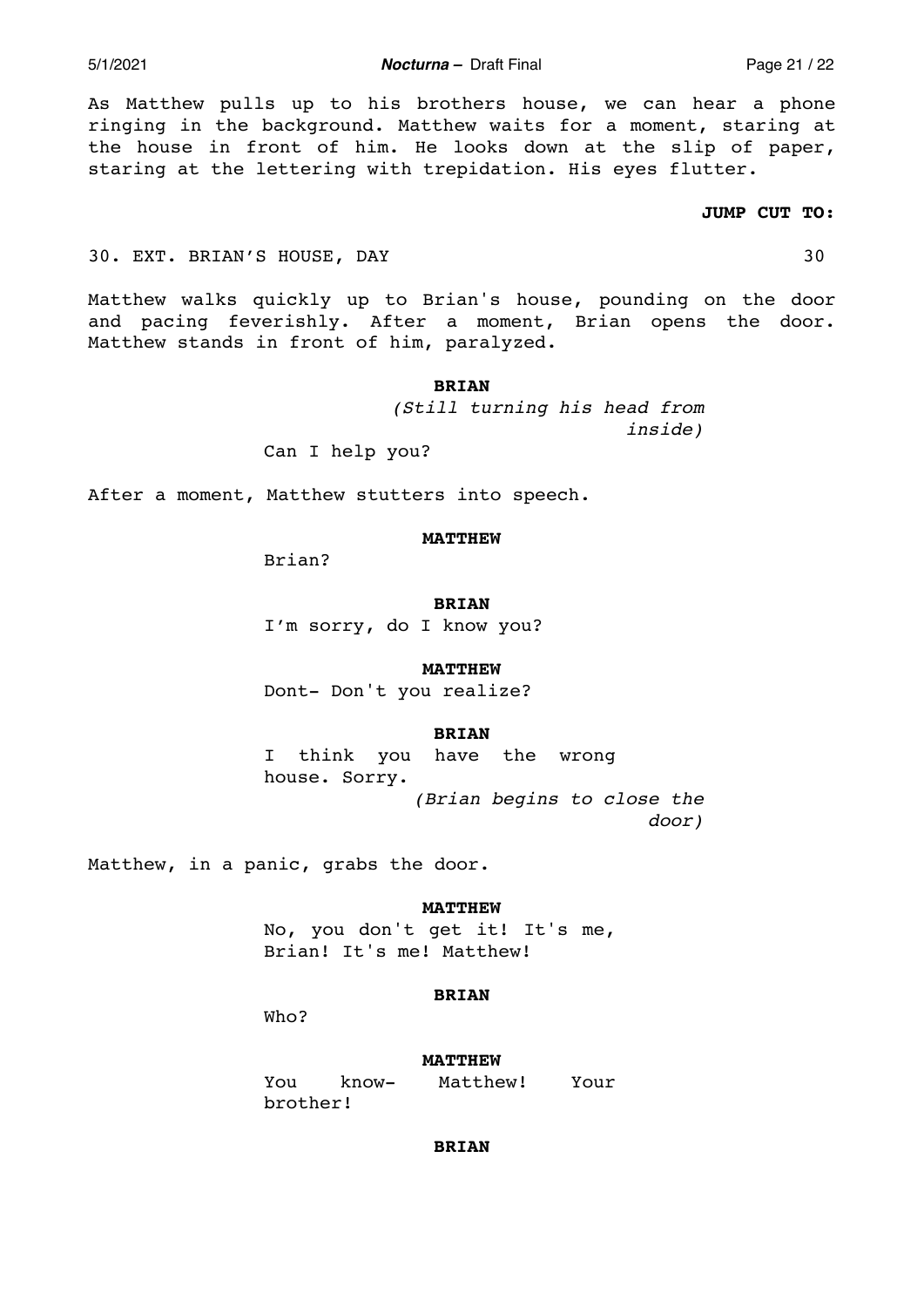5/1/2021 *Nocturna –* Draft Final Page 21 / 22

As Matthew pulls up to his brothers house, we can hear a phone ringing in the background. Matthew waits for a moment, staring at the house in front of him. He looks down at the slip of paper, staring at the lettering with trepidation. His eyes flutter.

# **JUMP CUT TO:**

## 30. EXT. BRIAN'S HOUSE, DAY 30

Matthew walks quickly up to Brian's house, pounding on the door and pacing feverishly. After a moment, Brian opens the door. Matthew stands in front of him, paralyzed.

## **BRIAN**

*(Still turning his head from inside)* 

Can I help you?

After a moment, Matthew stutters into speech.

#### **MATTHEW**

Brian?

**BRIAN** 

I'm sorry, do I know you?

### **MATTHEW**

Dont- Don't you realize?

#### **BRIAN**

I think you have the wrong house. Sorry. *(Brian begins to close the door)* 

Matthew, in a panic, grabs the door.

## **MATTHEW**

No, you don't get it! It's me, Brian! It's me! Matthew!

## **BRIAN**

Who?

## **MATTHEW**

You know- Matthew! Your brother!

# **BRIAN**